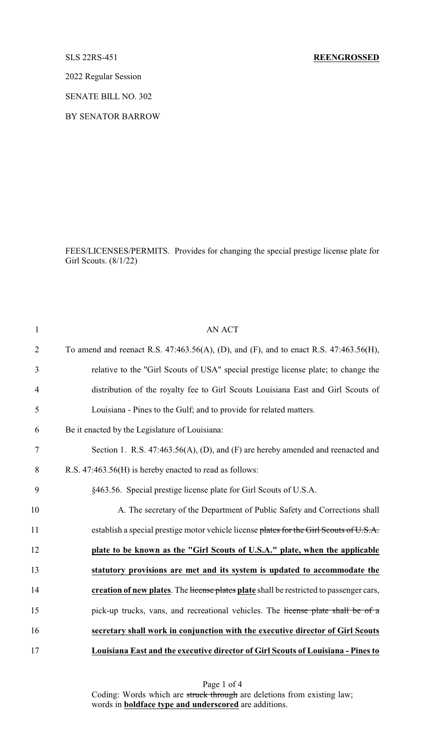2022 Regular Session

SENATE BILL NO. 302

BY SENATOR BARROW

FEES/LICENSES/PERMITS. Provides for changing the special prestige license plate for Girl Scouts. (8/1/22)

| $\mathbf{1}$   | <b>AN ACT</b>                                                                               |
|----------------|---------------------------------------------------------------------------------------------|
| $\overline{2}$ | To amend and reenact R.S. $47:463.56(A)$ , (D), and (F), and to enact R.S. $47:463.56(H)$ , |
| 3              | relative to the "Girl Scouts of USA" special prestige license plate; to change the          |
| $\overline{4}$ | distribution of the royalty fee to Girl Scouts Louisiana East and Girl Scouts of            |
| 5              | Louisiana - Pines to the Gulf; and to provide for related matters.                          |
| 6              | Be it enacted by the Legislature of Louisiana:                                              |
| 7              | Section 1. R.S. 47:463.56(A), (D), and (F) are hereby amended and reenacted and             |
| 8              | R.S. 47:463.56(H) is hereby enacted to read as follows:                                     |
| 9              | §463.56. Special prestige license plate for Girl Scouts of U.S.A.                           |
| 10             | A. The secretary of the Department of Public Safety and Corrections shall                   |
| 11             | establish a special prestige motor vehicle license plates for the Girl Scouts of U.S.A.     |
| 12             | plate to be known as the "Girl Scouts of U.S.A." plate, when the applicable                 |
| 13             | statutory provisions are met and its system is updated to accommodate the                   |
| 14             | creation of new plates. The license plates plate shall be restricted to passenger cars,     |
| 15             | pick-up trucks, vans, and recreational vehicles. The license plate shall be of a            |
| 16             | secretary shall work in conjunction with the executive director of Girl Scouts              |
| 17             | Louisiana East and the executive director of Girl Scouts of Louisiana - Pines to            |

Page 1 of 4 Coding: Words which are struck through are deletions from existing law; words in **boldface type and underscored** are additions.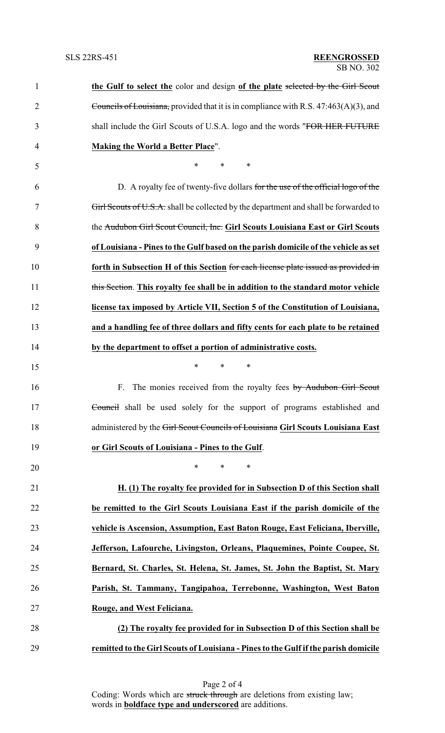| $\mathbf{1}$ | the Gulf to select the color and design of the plate selected by the Girl Scout         |
|--------------|-----------------------------------------------------------------------------------------|
| 2            | Councils of Louisiana, provided that it is in compliance with R.S. $47:463(A)(3)$ , and |
| 3            | shall include the Girl Scouts of U.S.A. logo and the words "FOR HER FUTURE"             |
| 4            | <b>Making the World a Better Place".</b>                                                |
| 5            | $\ast$<br>*<br>∗                                                                        |
| 6            | D. A royalty fee of twenty-five dollars for the use of the official logo of the         |
| 7            | Girl Scouts of U.S.A. shall be collected by the department and shall be forwarded to    |
| 8            | the Audubon Girl Scout Council, Inc. Girl Scouts Louisiana East or Girl Scouts          |
| 9            | of Louisiana - Pines to the Gulf based on the parish domicile of the vehicle as set     |
| 10           | forth in Subsection H of this Section for each license plate issued as provided in      |
| 11           | this Section. This royalty fee shall be in addition to the standard motor vehicle       |
| 12           | license tax imposed by Article VII, Section 5 of the Constitution of Louisiana,         |
| 13           | and a handling fee of three dollars and fifty cents for each plate to be retained       |
| 14           | by the department to offset a portion of administrative costs.                          |
| 15           | $\ast$<br>$\ast$<br>∗                                                                   |
| 16           | F.<br>The monies received from the royalty fees by Audubon Girl Scout                   |
| 17           | Council shall be used solely for the support of programs established and                |
| 18           | administered by the Girl Scout Councils of Louisiana Girl Scouts Louisiana East         |
| 19           | or Girl Scouts of Louisiana - Pines to the Gulf.                                        |
| 20           | $\ast$<br>*<br>∗                                                                        |
| 21           | H. (1) The royalty fee provided for in Subsection D of this Section shall               |
| 22           | be remitted to the Girl Scouts Louisiana East if the parish domicile of the             |
| 23           | vehicle is Ascension, Assumption, East Baton Rouge, East Feliciana, Iberville,          |
| 24           | Jefferson, Lafourche, Livingston, Orleans, Plaquemines, Pointe Coupee, St.              |
| 25           | Bernard, St. Charles, St. Helena, St. James, St. John the Baptist, St. Mary             |
| 26           | Parish, St. Tammany, Tangipahoa, Terrebonne, Washington, West Baton                     |
| 27           | Rouge, and West Feliciana.                                                              |
| 28           | (2) The royalty fee provided for in Subsection D of this Section shall be               |
| 29           | remitted to the Girl Scouts of Louisiana - Pines to the Gulf if the parish domicile     |

Page 2 of 4 Coding: Words which are struck through are deletions from existing law; words in **boldface type and underscored** are additions.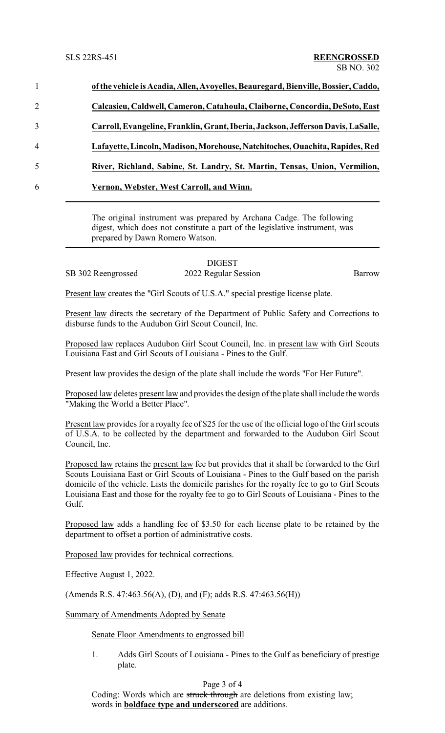|   | of the vehicle is Acadia, Allen, Avoyelles, Beauregard, Bienville, Bossier, Caddo, |
|---|------------------------------------------------------------------------------------|
| 2 | Calcasieu, Caldwell, Cameron, Catahoula, Claiborne, Concordia, DeSoto, East        |
| 3 | Carroll, Evangeline, Franklin, Grant, Iberia, Jackson, Jefferson Davis, LaSalle,   |
| 4 | Lafayette, Lincoln, Madison, Morehouse, Natchitoches, Ouachita, Rapides, Red       |
| 5 | River, Richland, Sabine, St. Landry, St. Martin, Tensas, Union, Vermilion,         |
| 6 | Vernon, Webster, West Carroll, and Winn.                                           |
|   |                                                                                    |

The original instrument was prepared by Archana Cadge. The following digest, which does not constitute a part of the legislative instrument, was prepared by Dawn Romero Watson.

## DIGEST

SB 302 Reengrossed 2022 Regular Session Barrow

Present law creates the "Girl Scouts of U.S.A." special prestige license plate.

Present law directs the secretary of the Department of Public Safety and Corrections to disburse funds to the Audubon Girl Scout Council, Inc.

Proposed law replaces Audubon Girl Scout Council, Inc. in present law with Girl Scouts Louisiana East and Girl Scouts of Louisiana - Pines to the Gulf.

Present law provides the design of the plate shall include the words "For Her Future".

Proposed law deletes present law and provides the design of the plate shall include the words "Making the World a Better Place".

Present law provides for a royalty fee of \$25 for the use of the official logo of the Girl scouts of U.S.A. to be collected by the department and forwarded to the Audubon Girl Scout Council, Inc.

Proposed law retains the present law fee but provides that it shall be forwarded to the Girl Scouts Louisiana East or Girl Scouts of Louisiana - Pines to the Gulf based on the parish domicile of the vehicle. Lists the domicile parishes for the royalty fee to go to Girl Scouts Louisiana East and those for the royalty fee to go to Girl Scouts of Louisiana - Pines to the Gulf.

Proposed law adds a handling fee of \$3.50 for each license plate to be retained by the department to offset a portion of administrative costs.

Proposed law provides for technical corrections.

Effective August 1, 2022.

(Amends R.S. 47:463.56(A), (D), and (F); adds R.S. 47:463.56(H))

Summary of Amendments Adopted by Senate

## Senate Floor Amendments to engrossed bill

1. Adds Girl Scouts of Louisiana - Pines to the Gulf as beneficiary of prestige plate.

## Page 3 of 4

Coding: Words which are struck through are deletions from existing law; words in **boldface type and underscored** are additions.